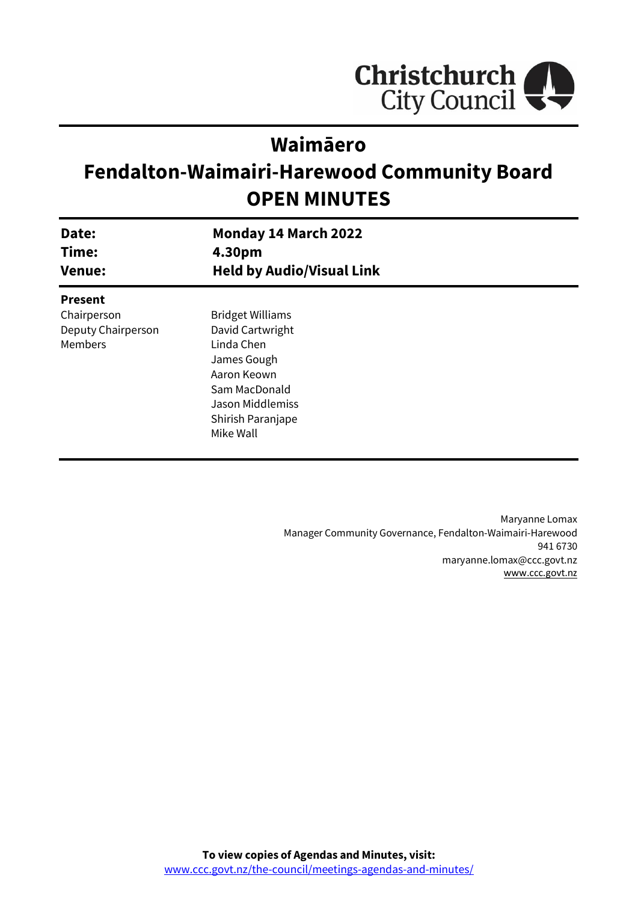

# **Waimāero**

# **Fendalton-Waimairi-Harewood Community Board OPEN MINUTES**

| Date:<br>Time:<br><b>Venue:</b> | <b>Monday 14 March 2022</b><br>4.30pm<br><b>Held by Audio/Visual Link</b> |  |
|---------------------------------|---------------------------------------------------------------------------|--|
|                                 |                                                                           |  |
| <b>Present</b>                  |                                                                           |  |
| Chairperson                     | <b>Bridget Williams</b>                                                   |  |
| Deputy Chairperson              | David Cartwright                                                          |  |
| Members                         | Linda Chen                                                                |  |
|                                 | James Gough                                                               |  |
|                                 | Aaron Keown                                                               |  |
|                                 | Sam MacDonald                                                             |  |
|                                 | <b>Jason Middlemiss</b>                                                   |  |
|                                 | Shirish Paranjape                                                         |  |
|                                 | Mike Wall                                                                 |  |
|                                 |                                                                           |  |

Maryanne Lomax Manager Community Governance, Fendalton-Waimairi-Harewood 941 6730 maryanne.lomax@ccc.govt.nz [www.ccc.govt.nz](http://www.ccc.govt.nz/)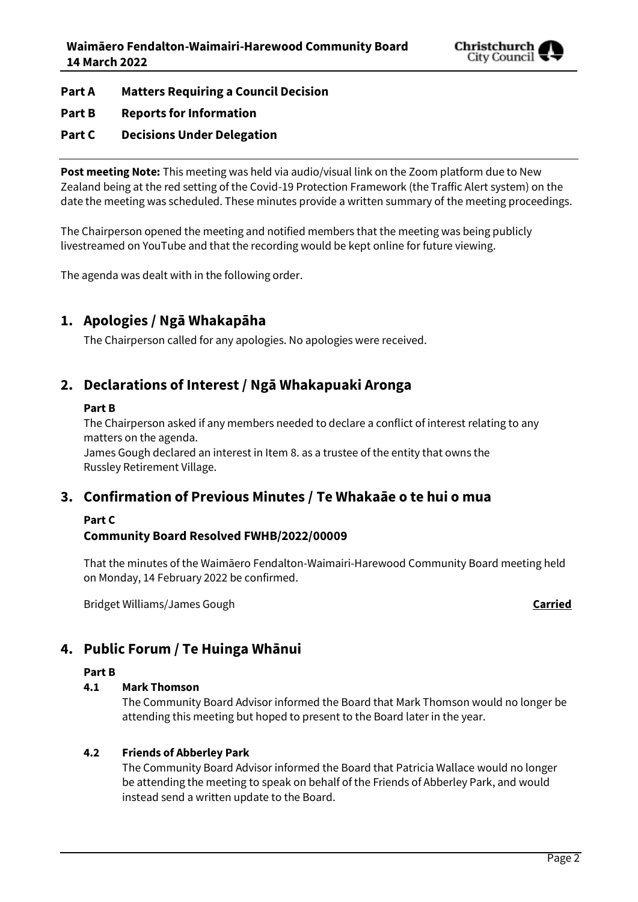

- **Part A Matters Requiring a Council Decision**
- **Part B Reports for Information**
- **Part C Decisions Under Delegation**

**Post meeting Note:** This meeting was held via audio/visual link on the Zoom platform due to New Zealand being at the red setting of the Covid-19 Protection Framework (the Traffic Alert system) on the date the meeting was scheduled. These minutes provide a written summary of the meeting proceedings.

The Chairperson opened the meeting and notified members that the meeting was being publicly livestreamed on YouTube and that the recording would be kept online for future viewing.

The agenda was dealt with in the following order.

# **1. Apologies / Ngā Whakapāha**

The Chairperson called for any apologies. No apologies were received.

# **2. Declarations of Interest / Ngā Whakapuaki Aronga**

#### **Part B**

The Chairperson asked if any members needed to declare a conflict of interest relating to any matters on the agenda.

James Gough declared an interest in Item 8. as a trustee of the entity that owns the Russley Retirement Village.

# **3. Confirmation of Previous Minutes / Te Whakaāe o te hui o mua**

# **Part C**

### **Community Board Resolved FWHB/2022/00009**

That the minutes of the Waimāero Fendalton-Waimairi-Harewood Community Board meeting held on Monday, 14 February 2022 be confirmed.

Bridget Williams/James Gough **Carried**

# **4. Public Forum / Te Huinga Whānui**

#### **Part B**

#### **4.1 Mark Thomson**

The Community Board Advisor informed the Board that Mark Thomson would no longer be attending this meeting but hoped to present to the Board later in the year.

#### **4.2 Friends of Abberley Park**

The Community Board Advisor informed the Board that Patricia Wallace would no longer be attending the meeting to speak on behalf of the Friends of Abberley Park, and would instead send a written update to the Board.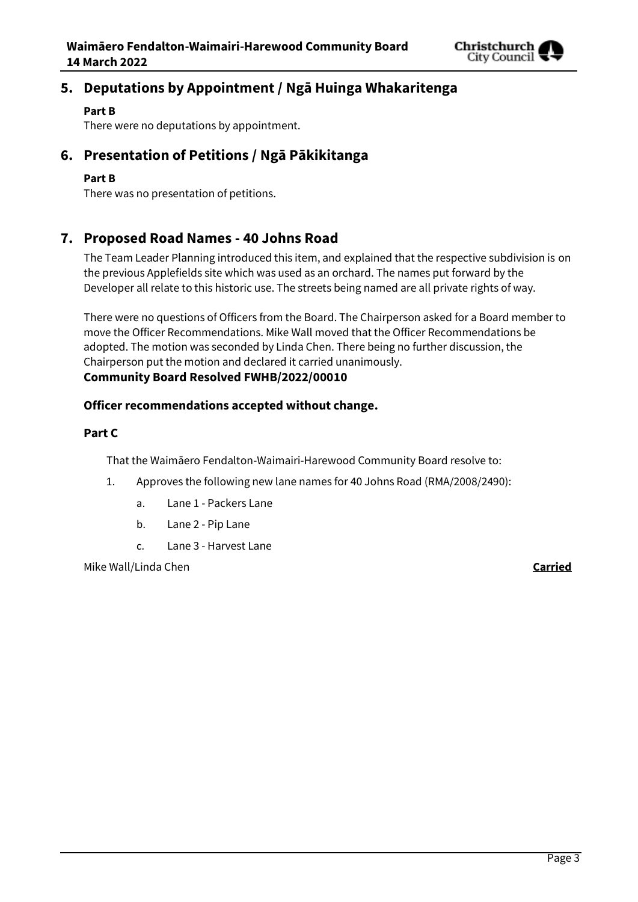

# **5. Deputations by Appointment / Ngā Huinga Whakaritenga**

#### **Part B**

There were no deputations by appointment.

# **6. Presentation of Petitions / Ngā Pākikitanga**

#### **Part B**

There was no presentation of petitions.

## **7. Proposed Road Names - 40 Johns Road**

The Team Leader Planning introduced this item, and explained that the respective subdivision is on the previous Applefields site which was used as an orchard. The names put forward by the Developer all relate to this historic use. The streets being named are all private rights of way.

There were no questions of Officers from the Board. The Chairperson asked for a Board member to move the Officer Recommendations. Mike Wall moved that the Officer Recommendations be adopted. The motion was seconded by Linda Chen. There being no further discussion, the Chairperson put the motion and declared it carried unanimously. **Community Board Resolved FWHB/2022/00010**

#### **Officer recommendations accepted without change.**

#### **Part C**

That the Waimāero Fendalton-Waimairi-Harewood Community Board resolve to:

- 1. Approves the following new lane names for 40 Johns Road (RMA/2008/2490):
	- a. Lane 1 Packers Lane
	- b. Lane 2 Pip Lane
	- c. Lane 3 Harvest Lane

Mike Wall/Linda Chen **Carried**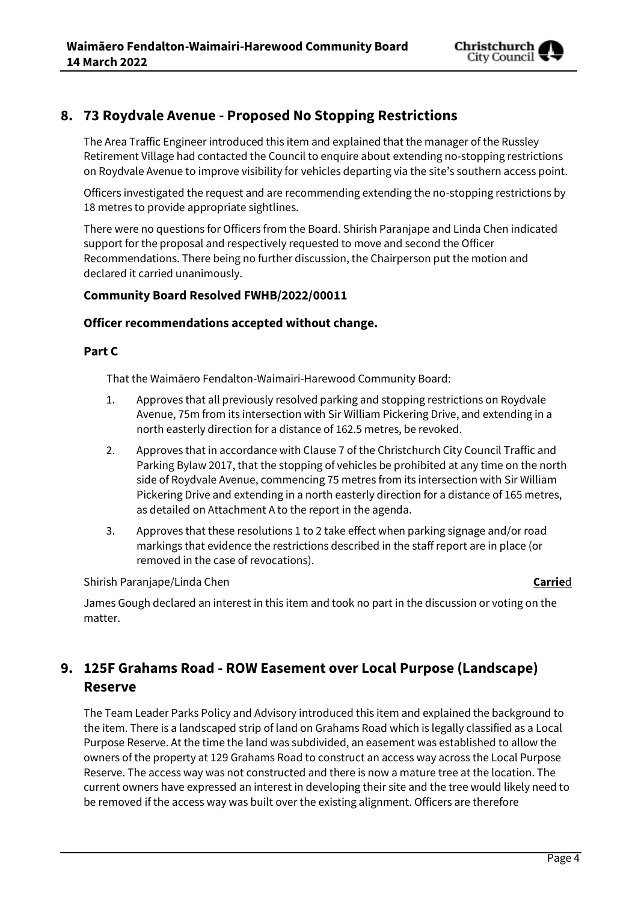

# **8. 73 Roydvale Avenue - Proposed No Stopping Restrictions**

The Area Traffic Engineer introduced this item and explained that the manager of the Russley Retirement Village had contacted the Council to enquire about extending no-stopping restrictions on Roydvale Avenue to improve visibility for vehicles departing via the site's southern access point.

Officers investigated the request and are recommending extending the no-stopping restrictions by 18 metres to provide appropriate sightlines.

There were no questions for Officers from the Board. Shirish Paranjape and Linda Chen indicated support for the proposal and respectively requested to move and second the Officer Recommendations. There being no further discussion, the Chairperson put the motion and declared it carried unanimously.

#### **Community Board Resolved FWHB/2022/00011**

#### **Officer recommendations accepted without change.**

#### **Part C**

That the Waimāero Fendalton-Waimairi-Harewood Community Board:

- 1. Approves that all previously resolved parking and stopping restrictions on Roydvale Avenue, 75m from its intersection with Sir William Pickering Drive, and extending in a north easterly direction for a distance of 162.5 metres, be revoked.
- 2. Approves that in accordance with Clause 7 of the Christchurch City Council Traffic and Parking Bylaw 2017, that the stopping of vehicles be prohibited at any time on the north side of Roydvale Avenue, commencing 75 metres from its intersection with Sir William Pickering Drive and extending in a north easterly direction for a distance of 165 metres, as detailed on Attachment A to the report in the agenda.
- 3. Approves that these resolutions 1 to 2 take effect when parking signage and/or road markings that evidence the restrictions described in the staff report are in place (or removed in the case of revocations).

Shirish Paranjape/Linda Chen **Carrie**d

James Gough declared an interest in this item and took no part in the discussion or voting on the matter.

# **9. 125F Grahams Road - ROW Easement over Local Purpose (Landscape) Reserve**

The Team Leader Parks Policy and Advisory introduced this item and explained the background to the item. There is a landscaped strip of land on Grahams Road which is legally classified as a Local Purpose Reserve. At the time the land was subdivided, an easement was established to allow the owners of the property at 129 Grahams Road to construct an access way across the Local Purpose Reserve. The access way was not constructed and there is now a mature tree at the location. The current owners have expressed an interest in developing their site and the tree would likely need to be removed if the access way was built over the existing alignment. Officers are therefore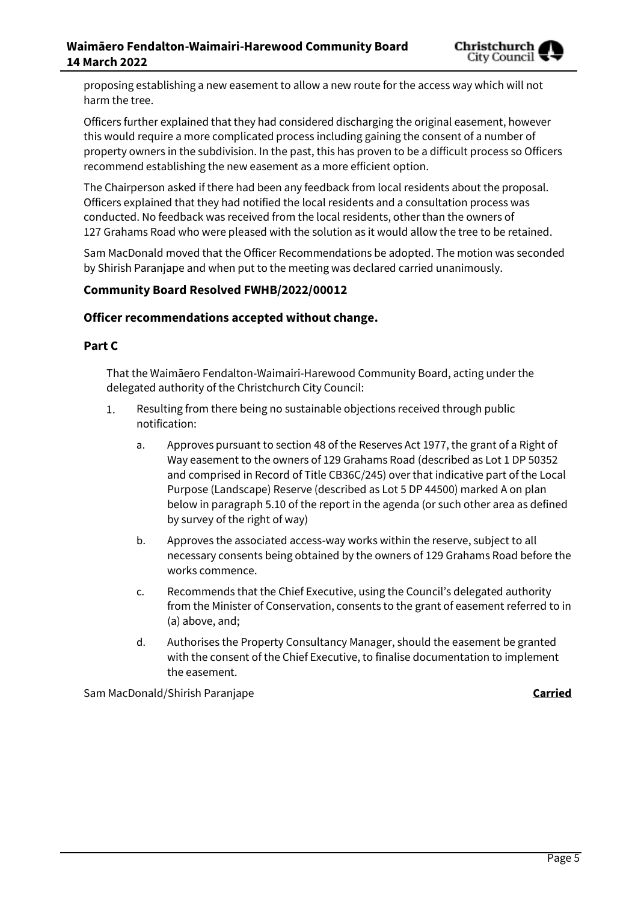proposing establishing a new easement to allow a new route for the access way which will not harm the tree.

Officers further explained that they had considered discharging the original easement, however this would require a more complicated process including gaining the consent of a number of property owners in the subdivision. In the past, this has proven to be a difficult process so Officers recommend establishing the new easement as a more efficient option.

The Chairperson asked if there had been any feedback from local residents about the proposal. Officers explained that they had notified the local residents and a consultation process was conducted. No feedback was received from the local residents, other than the owners of 127 Grahams Road who were pleased with the solution as it would allow the tree to be retained.

Sam MacDonald moved that the Officer Recommendations be adopted. The motion was seconded by Shirish Paranjape and when put to the meeting was declared carried unanimously.

### **Community Board Resolved FWHB/2022/00012**

#### **Officer recommendations accepted without change.**

#### **Part C**

That the Waimāero Fendalton-Waimairi-Harewood Community Board, acting under the delegated authority of the Christchurch City Council:

- $1.$ Resulting from there being no sustainable objections received through public notification:
	- a. Approves pursuant to section 48 of the Reserves Act 1977, the grant of a Right of Way easement to the owners of 129 Grahams Road (described as Lot 1 DP 50352 and comprised in Record of Title CB36C/245) over that indicative part of the Local Purpose (Landscape) Reserve (described as Lot 5 DP 44500) marked A on plan below in paragraph 5.10 of the report in the agenda (or such other area as defined by survey of the right of way)
	- b. Approves the associated access-way works within the reserve, subject to all necessary consents being obtained by the owners of 129 Grahams Road before the works commence.
	- c. Recommends that the Chief Executive, using the Council's delegated authority from the Minister of Conservation, consents to the grant of easement referred to in (a) above, and;
	- d. Authorises the Property Consultancy Manager, should the easement be granted with the consent of the Chief Executive, to finalise documentation to implement the easement.

Sam MacDonald/Shirish Paranjape **Carried**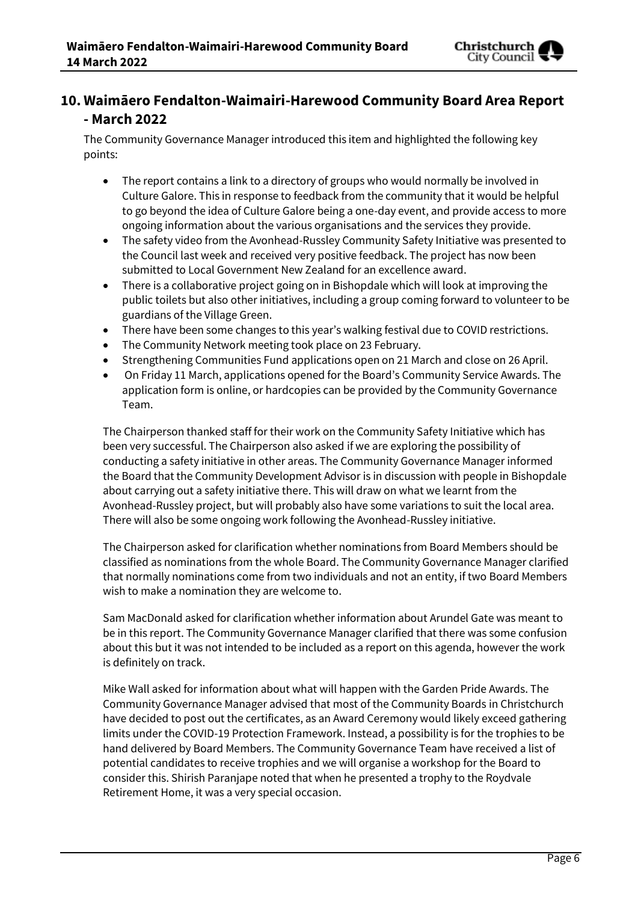

# **10. Waimāero Fendalton-Waimairi-Harewood Community Board Area Report - March 2022**

The Community Governance Manager introduced this item and highlighted the following key points:

- The report contains a link to a directory of groups who would normally be involved in Culture Galore. This in response to feedback from the community that it would be helpful to go beyond the idea of Culture Galore being a one-day event, and provide access to more ongoing information about the various organisations and the services they provide.
- The safety video from the Avonhead-Russley Community Safety Initiative was presented to the Council last week and received very positive feedback. The project has now been submitted to Local Government New Zealand for an excellence award.
- There is a collaborative project going on in Bishopdale which will look at improving the public toilets but also other initiatives, including a group coming forward to volunteer to be guardians of the Village Green.
- There have been some changes to this year's walking festival due to COVID restrictions.
- The Community Network meeting took place on 23 February.
- Strengthening Communities Fund applications open on 21 March and close on 26 April.
- On Friday 11 March, applications opened for the Board's Community Service Awards. The application form is online, or hardcopies can be provided by the Community Governance Team.

The Chairperson thanked staff for their work on the Community Safety Initiative which has been very successful. The Chairperson also asked if we are exploring the possibility of conducting a safety initiative in other areas. The Community Governance Manager informed the Board that the Community Development Advisor is in discussion with people in Bishopdale about carrying out a safety initiative there. This will draw on what we learnt from the Avonhead-Russley project, but will probably also have some variations to suit the local area. There will also be some ongoing work following the Avonhead-Russley initiative.

The Chairperson asked for clarification whether nominations from Board Members should be classified as nominations from the whole Board. The Community Governance Manager clarified that normally nominations come from two individuals and not an entity, if two Board Members wish to make a nomination they are welcome to.

Sam MacDonald asked for clarification whether information about Arundel Gate was meant to be in this report. The Community Governance Manager clarified that there was some confusion about this but it was not intended to be included as a report on this agenda, however the work is definitely on track.

Mike Wall asked for information about what will happen with the Garden Pride Awards. The Community Governance Manager advised that most of the Community Boards in Christchurch have decided to post out the certificates, as an Award Ceremony would likely exceed gathering limits under the COVID-19 Protection Framework. Instead, a possibility is for the trophies to be hand delivered by Board Members. The Community Governance Team have received a list of potential candidates to receive trophies and we will organise a workshop for the Board to consider this. Shirish Paranjape noted that when he presented a trophy to the Roydvale Retirement Home, it was a very special occasion.